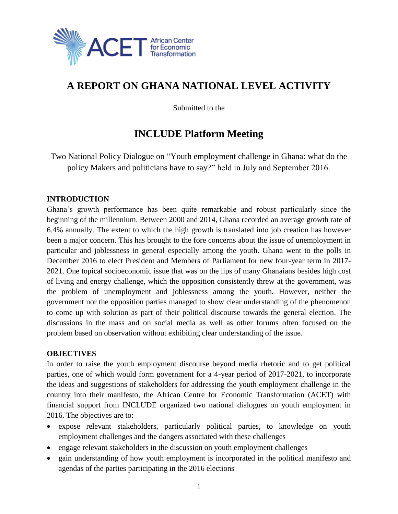

# **A REPORT ON GHANA NATIONAL LEVEL ACTIVITY**

Submitted to the

## **INCLUDE Platform Meeting**

Two National Policy Dialogue on "Youth employment challenge in Ghana: what do the policy Makers and politicians have to say?" held in July and September 2016.

## **INTRODUCTION**

Ghana's growth performance has been quite remarkable and robust particularly since the beginning of the millennium. Between 2000 and 2014, Ghana recorded an average growth rate of 6.4% annually. The extent to which the high growth is translated into job creation has however been a major concern. This has brought to the fore concerns about the issue of unemployment in particular and joblessness in general especially among the youth. Ghana went to the polls in December 2016 to elect President and Members of Parliament for new four-year term in 2017- 2021. One topical socioeconomic issue that was on the lips of many Ghanaians besides high cost of living and energy challenge, which the opposition consistently threw at the government, was the problem of unemployment and joblessness among the youth. However, neither the government nor the opposition parties managed to show clear understanding of the phenomenon to come up with solution as part of their political discourse towards the general election. The discussions in the mass and on social media as well as other forums often focused on the problem based on observation without exhibiting clear understanding of the issue.

#### **OBJECTIVES**

In order to raise the youth employment discourse beyond media rhetoric and to get political parties, one of which would form government for a 4-year period of 2017-2021, to incorporate the ideas and suggestions of stakeholders for addressing the youth employment challenge in the country into their manifesto, the African Centre for Economic Transformation (ACET) with financial support from INCLUDE organized two national dialogues on youth employment in 2016. The objectives are to:

- expose relevant stakeholders, particularly political parties, to knowledge on youth employment challenges and the dangers associated with these challenges
- engage relevant stakeholders in the discussion on youth employment challenges
- gain understanding of how youth employment is incorporated in the political manifesto and agendas of the parties participating in the 2016 elections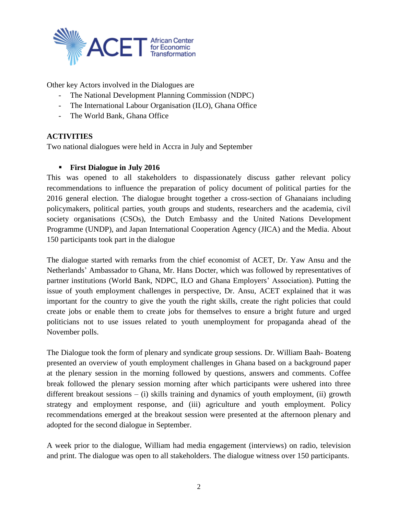

Other key Actors involved in the Dialogues are

- The National Development Planning Commission (NDPC)
- The International Labour Organisation (ILO), Ghana Office
- The World Bank, Ghana Office

## **ACTIVITIES**

Two national dialogues were held in Accra in July and September

## **First Dialogue in July 2016**

This was opened to all stakeholders to dispassionately discuss gather relevant policy recommendations to influence the preparation of policy document of political parties for the 2016 general election. The dialogue brought together a cross-section of Ghanaians including policymakers, political parties, youth groups and students, researchers and the academia, civil society organisations (CSOs), the Dutch Embassy and the United Nations Development Programme (UNDP), and Japan International Cooperation Agency (JICA) and the Media. About 150 participants took part in the dialogue

The dialogue started with remarks from the chief economist of ACET, Dr. Yaw Ansu and the Netherlands' Ambassador to Ghana, Mr. Hans Docter, which was followed by representatives of partner institutions (World Bank, NDPC, ILO and Ghana Employers' Association). Putting the issue of youth employment challenges in perspective, Dr. Ansu, ACET explained that it was important for the country to give the youth the right skills, create the right policies that could create jobs or enable them to create jobs for themselves to ensure a bright future and urged politicians not to use issues related to youth unemployment for propaganda ahead of the November polls.

The Dialogue took the form of plenary and syndicate group sessions. Dr. William Baah- Boateng presented an overview of youth employment challenges in Ghana based on a background paper at the plenary session in the morning followed by questions, answers and comments. Coffee break followed the plenary session morning after which participants were ushered into three different breakout sessions – (i) skills training and dynamics of youth employment, (ii) growth strategy and employment response, and (iii) agriculture and youth employment. Policy recommendations emerged at the breakout session were presented at the afternoon plenary and adopted for the second dialogue in September.

A week prior to the dialogue, William had media engagement (interviews) on radio, television and print. The dialogue was open to all stakeholders. The dialogue witness over 150 participants.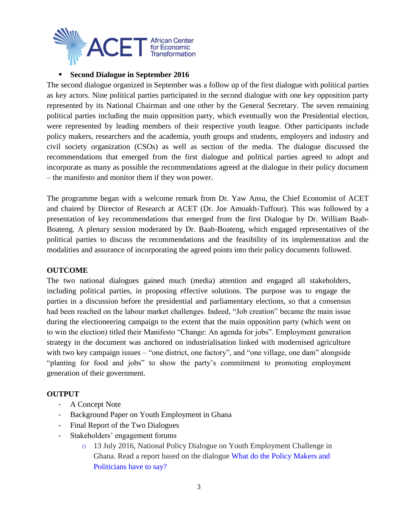

#### **Second Dialogue in September 2016**

The second dialogue organized in September was a follow up of the first dialogue with political parties as key actors. Nine political parties participated in the second dialogue with one key opposition party represented by its National Chairman and one other by the General Secretary. The seven remaining political parties including the main opposition party, which eventually won the Presidential election, were represented by leading members of their respective youth league. Other participants include policy makers, researchers and the academia, youth groups and students, employers and industry and civil society organization (CSOs) as well as section of the media. The dialogue discussed the recommendations that emerged from the first dialogue and political parties agreed to adopt and incorporate as many as possible the recommendations agreed at the dialogue in their policy document – the manifesto and monitor them if they won power.

The programme began with a welcome remark from Dr. Yaw Ansu, the Chief Economist of ACET and chaired by Director of Research at ACET (Dr. Joe Amoakh-Tuffour). This was followed by a presentation of key recommendations that emerged from the first Dialogue by Dr. William Baah-Boateng. A plenary session moderated by Dr. Baah-Boateng, which engaged representatives of the political parties to discuss the recommendations and the feasibility of its implementation and the modalities and assurance of incorporating the agreed points into their policy documents followed.

#### **OUTCOME**

The two national dialogues gained much (media) attention and engaged all stakeholders, including political parties, in proposing effective solutions. The purpose was to engage the parties in a discussion before the presidential and parliamentary elections, so that a consensus had been reached on the labour market challenges. Indeed, "Job creation" became the main issue during the electioneering campaign to the extent that the main opposition party (which went on to win the election) titled their Manifesto "Change: An agenda for jobs". Employment generation strategy in the document was anchored on industrialisation linked with modernised agriculture with two key campaign issues – "one district, one factory", and "one village, one dam" alongside "planting for food and jobs" to show the party's commitment to promoting employment generation of their government.

#### **OUTPUT**

- A Concept Note
- Background Paper on Youth Employment in Ghana
- Final Report of the Two Dialogues
- Stakeholders' engagement forums
	- o 13 July 2016, National Policy Dialogue on Youth Employment Challenge in Ghana. Read a report based on the dialogue [What do the Policy Makers and](http://acetforafrica.org/media/latest-news/national-policy-dialogue-on-youth-employment-challenges-in-ghana-what-do-the-policy-makers-and-politicians-have-to-say/)  [Politicians have to say?](http://acetforafrica.org/media/latest-news/national-policy-dialogue-on-youth-employment-challenges-in-ghana-what-do-the-policy-makers-and-politicians-have-to-say/)